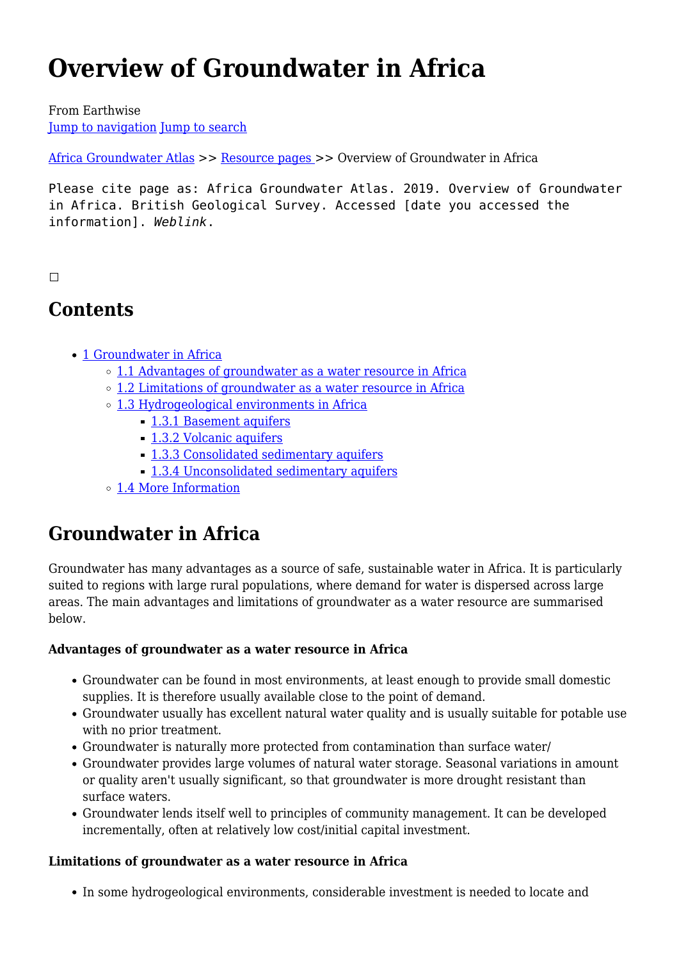# **Overview of Groundwater in Africa**

From Earthwise [Jump to navigation](#page--1-0) [Jump to search](#page--1-0)

[Africa Groundwater Atlas](http://earthwise.bgs.ac.uk/index.php/Africa_Groundwater_Atlas_Home) >> [Resource pages](http://earthwise.bgs.ac.uk/index.php/Additional_resources) >> Overview of Groundwater in Africa

Please cite page as: Africa Groundwater Atlas. 2019. Overview of Groundwater in Africa. British Geological Survey. Accessed [date you accessed the information]. *Weblink*.

#### $\Box$

# **Contents**

- [1](#page--1-0) [Groundwater in Africa](#page--1-0)
	- [1.1](#page--1-0) [Advantages of groundwater as a water resource in Africa](#page--1-0)
	- [1.2](#page--1-0) [Limitations of groundwater as a water resource in Africa](#page--1-0)
	- [1.3](#page--1-0) [Hydrogeological environments in Africa](#page--1-0)
		- [1.3.1](#page--1-0) [Basement aquifers](#page--1-0)
		- [1.3.2](#page--1-0) [Volcanic aquifers](#page--1-0)
		- [1.3.3](#page--1-0) [Consolidated sedimentary aquifers](#page--1-0)
		- [1.3.4](#page--1-0) [Unconsolidated sedimentary aquifers](#page--1-0)
	- [1.4](#page--1-0) [More Information](#page--1-0)

# **Groundwater in Africa**

Groundwater has many advantages as a source of safe, sustainable water in Africa. It is particularly suited to regions with large rural populations, where demand for water is dispersed across large areas. The main advantages and limitations of groundwater as a water resource are summarised below.

#### **Advantages of groundwater as a water resource in Africa**

- Groundwater can be found in most environments, at least enough to provide small domestic supplies. It is therefore usually available close to the point of demand.
- Groundwater usually has excellent natural water quality and is usually suitable for potable use with no prior treatment.
- Groundwater is naturally more protected from contamination than surface water/
- Groundwater provides large volumes of natural water storage. Seasonal variations in amount or quality aren't usually significant, so that groundwater is more drought resistant than surface waters.
- Groundwater lends itself well to principles of community management. It can be developed incrementally, often at relatively low cost/initial capital investment.

#### **Limitations of groundwater as a water resource in Africa**

In some hydrogeological environments, considerable investment is needed to locate and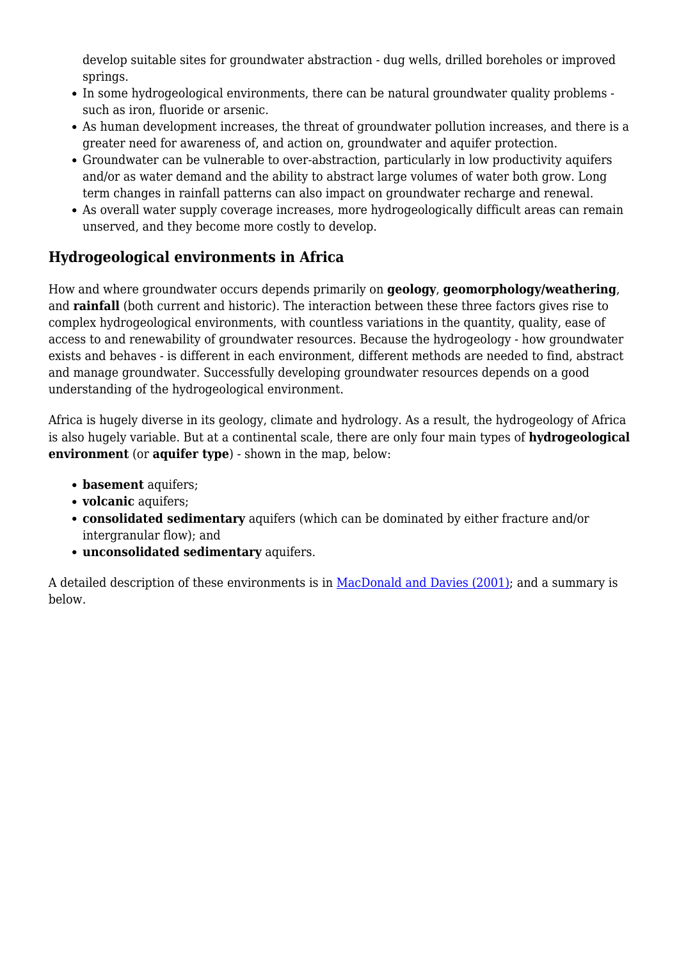develop suitable sites for groundwater abstraction - dug wells, drilled boreholes or improved springs.

- In some hydrogeological environments, there can be natural groundwater quality problems such as iron, fluoride or arsenic.
- As human development increases, the threat of groundwater pollution increases, and there is a greater need for awareness of, and action on, groundwater and aquifer protection.
- Groundwater can be vulnerable to over-abstraction, particularly in low productivity aquifers and/or as water demand and the ability to abstract large volumes of water both grow. Long term changes in rainfall patterns can also impact on groundwater recharge and renewal.
- As overall water supply coverage increases, more hydrogeologically difficult areas can remain unserved, and they become more costly to develop.

# **Hydrogeological environments in Africa**

How and where groundwater occurs depends primarily on **geology**, **geomorphology/weathering**, and **rainfall** (both current and historic). The interaction between these three factors gives rise to complex hydrogeological environments, with countless variations in the quantity, quality, ease of access to and renewability of groundwater resources. Because the hydrogeology - how groundwater exists and behaves - is different in each environment, different methods are needed to find, abstract and manage groundwater. Successfully developing groundwater resources depends on a good understanding of the hydrogeological environment.

Africa is hugely diverse in its geology, climate and hydrology. As a result, the hydrogeology of Africa is also hugely variable. But at a continental scale, there are only four main types of **hydrogeological environment** (or **aquifer type**) - shown in the map, below:

- **basement** aquifers;
- **volcanic** aquifers;
- **consolidated sedimentary** aquifers (which can be dominated by either fracture and/or intergranular flow); and
- **unconsolidated sedimentary** aquifers.

A detailed description of these environments is in [MacDonald and Davies \(2001\);](http://nora.nerc.ac.uk/501047/) and a summary is below.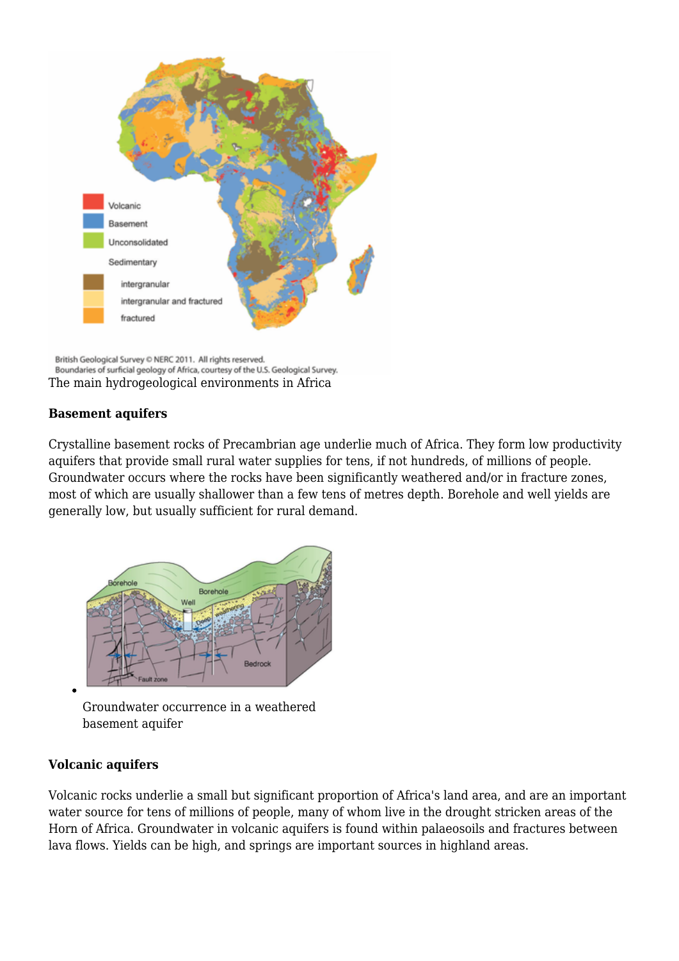

British Geological Survey © NERC 2011. All rights reserved. Boundaries of surficial geology of Africa, courtesy of the U.S. Geological Survey. The main hydrogeological environments in Africa

#### **Basement aquifers**

Crystalline basement rocks of Precambrian age underlie much of Africa. They form low productivity aquifers that provide small rural water supplies for tens, if not hundreds, of millions of people. Groundwater occurs where the rocks have been significantly weathered and/or in fracture zones, most of which are usually shallower than a few tens of metres depth. Borehole and well yields are generally low, but usually sufficient for rural demand.



Groundwater occurrence in a weathered basement aquifer

#### **Volcanic aquifers**

Volcanic rocks underlie a small but significant proportion of Africa's land area, and are an important water source for tens of millions of people, many of whom live in the drought stricken areas of the Horn of Africa. Groundwater in volcanic aquifers is found within palaeosoils and fractures between lava flows. Yields can be high, and springs are important sources in highland areas.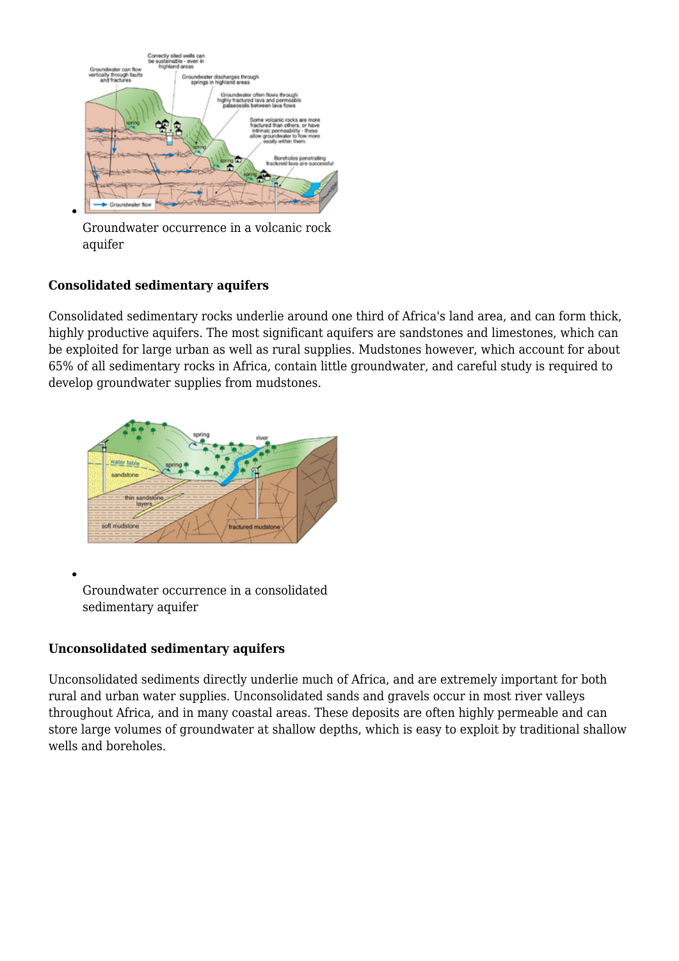

Groundwater occurrence in a volcanic rock aquifer

#### **Consolidated sedimentary aquifers**

Consolidated sedimentary rocks underlie around one third of Africa's land area, and can form thick, highly productive aquifers. The most significant aquifers are sandstones and limestones, which can be exploited for large urban as well as rural supplies. Mudstones however, which account for about 65% of all sedimentary rocks in Africa, contain little groundwater, and careful study is required to develop groundwater supplies from mudstones.



Groundwater occurrence in a consolidated sedimentary aquifer

#### **Unconsolidated sedimentary aquifers**

Unconsolidated sediments directly underlie much of Africa, and are extremely important for both rural and urban water supplies. Unconsolidated sands and gravels occur in most river valleys throughout Africa, and in many coastal areas. These deposits are often highly permeable and can store large volumes of groundwater at shallow depths, which is easy to exploit by traditional shallow wells and boreholes.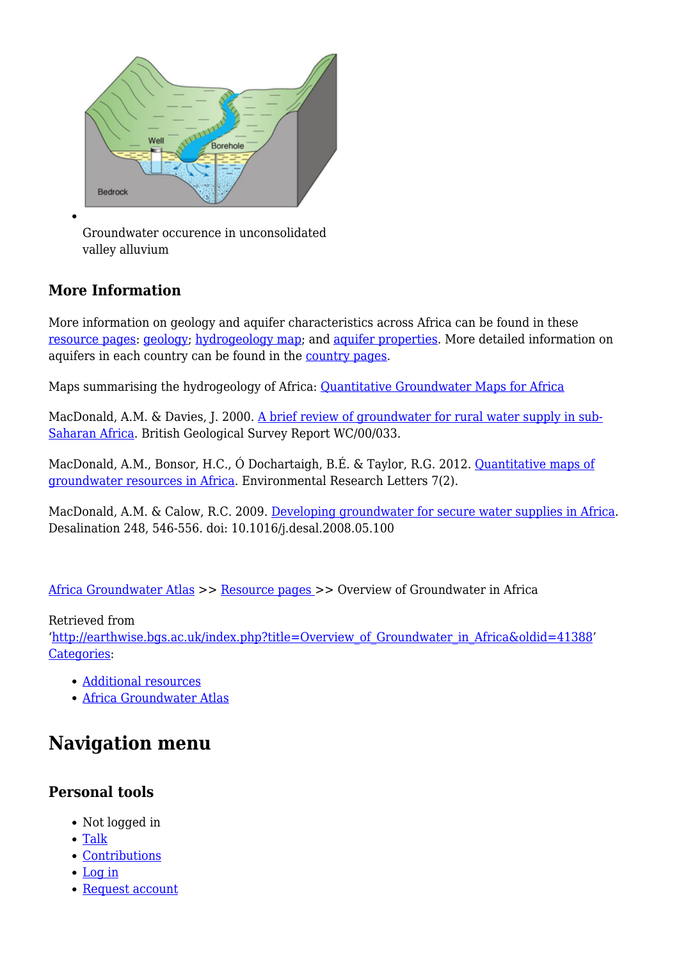

Groundwater occurence in unconsolidated valley alluvium

# **More Information**

More information on geology and aquifer characteristics across Africa can be found in these [resource pages](http://earthwise.bgs.ac.uk/index.php/Additional_resources): [geology;](http://earthwise.bgs.ac.uk/index.php/Geology) [hydrogeology map](http://earthwise.bgs.ac.uk/index.php/Hydrogeology_Map); and [aquifer properties.](http://earthwise.bgs.ac.uk/index.php/Aquifer_properties) More detailed information on aquifers in each country can be found in the [country pages](http://earthwise.bgs.ac.uk/index.php/Hydrogeology_by_country).

Maps summarising the hydrogeology of Africa: [Quantitative Groundwater Maps for Africa](http://www.bgs.ac.uk/research/groundwater/international/africanGroundwater/maps.html)

MacDonald, A.M. & Davies, J. 2000. [A brief review of groundwater for rural water supply in sub-](http://nora.nerc.ac.uk/501047/)[Saharan Africa.](http://nora.nerc.ac.uk/501047/) British Geological Survey Report WC/00/033.

MacDonald, A.M., Bonsor, H.C., Ó Dochartaigh, B.É. & Taylor, R.G. 2012. [Quantitative maps of](http://iopscience.iop.org/article/10.1088/1748-9326/7/2/024009;jsessionid=18D8D7F69C3ACBEED0D7494F46850BD6.c1) [groundwater resources in Africa.](http://iopscience.iop.org/article/10.1088/1748-9326/7/2/024009;jsessionid=18D8D7F69C3ACBEED0D7494F46850BD6.c1) Environmental Research Letters 7(2).

MacDonald, A.M. & Calow, R.C. 2009. [Developing groundwater for secure water supplies in Africa](http://nora.nerc.ac.uk/8460/). Desalination 248, 546-556. doi: 10.1016/j.desal.2008.05.100

[Africa Groundwater Atlas](http://earthwise.bgs.ac.uk/index.php/Africa_Groundwater_Atlas_Home) >> [Resource pages](http://earthwise.bgs.ac.uk/index.php/Additional_resources) >> Overview of Groundwater in Africa

#### Retrieved from

'[http://earthwise.bgs.ac.uk/index.php?title=Overview\\_of\\_Groundwater\\_in\\_Africa&oldid=41388'](http://earthwise.bgs.ac.uk/index.php?title=Overview_of_Groundwater_in_Africa&oldid=41388) [Categories:](http://earthwise.bgs.ac.uk/index.php/Special:Categories)

- [Additional resources](http://earthwise.bgs.ac.uk/index.php/Category:Additional_resources)
- [Africa Groundwater Atlas](http://earthwise.bgs.ac.uk/index.php/Category:Africa_Groundwater_Atlas)

# **Navigation menu**

# **Personal tools**

- Not logged in
- [Talk](http://earthwise.bgs.ac.uk/index.php/Special:MyTalk)
- [Contributions](http://earthwise.bgs.ac.uk/index.php/Special:MyContributions)
- [Log in](http://earthwise.bgs.ac.uk/index.php?title=Special:UserLogin&returnto=Overview+of+Groundwater+in+Africa&returntoquery=action%3Dmpdf)
- [Request account](http://earthwise.bgs.ac.uk/index.php/Special:RequestAccount)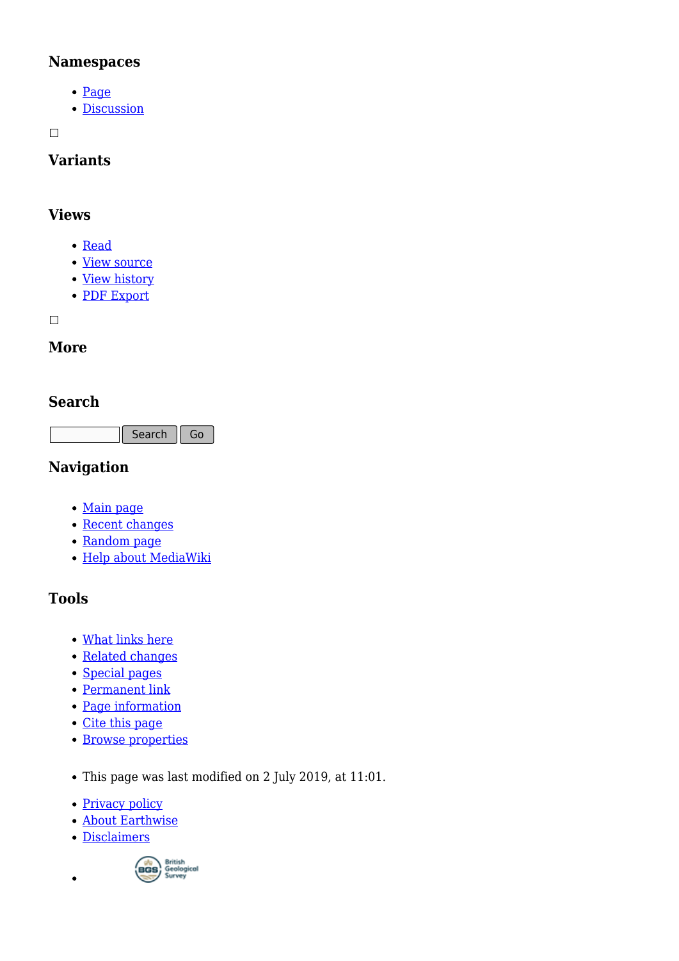### **Namespaces**

- [Page](http://earthwise.bgs.ac.uk/index.php/Overview_of_Groundwater_in_Africa)
- [Discussion](http://earthwise.bgs.ac.uk/index.php?title=Talk:Overview_of_Groundwater_in_Africa&action=edit&redlink=1)

 $\Box$ 

# **Variants**

### **Views**

- [Read](http://earthwise.bgs.ac.uk/index.php/Overview_of_Groundwater_in_Africa)
- [View source](http://earthwise.bgs.ac.uk/index.php?title=Overview_of_Groundwater_in_Africa&action=edit)
- [View history](http://earthwise.bgs.ac.uk/index.php?title=Overview_of_Groundwater_in_Africa&action=history)
- [PDF Export](http://earthwise.bgs.ac.uk/index.php?title=Overview_of_Groundwater_in_Africa&action=mpdf)

 $\Box$ 

# **More**

# **Search**

Search Go

# **Navigation**

- [Main page](http://earthwise.bgs.ac.uk/index.php/Main_Page)
- [Recent changes](http://earthwise.bgs.ac.uk/index.php/Special:RecentChanges)
- [Random page](http://earthwise.bgs.ac.uk/index.php/Special:Random)
- [Help about MediaWiki](https://www.mediawiki.org/wiki/Special:MyLanguage/Help:Contents)

# **Tools**

- [What links here](http://earthwise.bgs.ac.uk/index.php/Special:WhatLinksHere/Overview_of_Groundwater_in_Africa)
- [Related changes](http://earthwise.bgs.ac.uk/index.php/Special:RecentChangesLinked/Overview_of_Groundwater_in_Africa)
- [Special pages](http://earthwise.bgs.ac.uk/index.php/Special:SpecialPages)
- [Permanent link](http://earthwise.bgs.ac.uk/index.php?title=Overview_of_Groundwater_in_Africa&oldid=41388)
- [Page information](http://earthwise.bgs.ac.uk/index.php?title=Overview_of_Groundwater_in_Africa&action=info)
- [Cite this page](http://earthwise.bgs.ac.uk/index.php?title=Special:CiteThisPage&page=Overview_of_Groundwater_in_Africa&id=41388)
- [Browse properties](http://earthwise.bgs.ac.uk/index.php/Special:Browse/:Overview-5Fof-5FGroundwater-5Fin-5FAfrica)
- This page was last modified on 2 July 2019, at 11:01.
- [Privacy policy](http://earthwise.bgs.ac.uk/index.php/Earthwise:Privacy_policy)
- [About Earthwise](http://earthwise.bgs.ac.uk/index.php/Earthwise:About)
- [Disclaimers](http://earthwise.bgs.ac.uk/index.php/Earthwise:General_disclaimer)